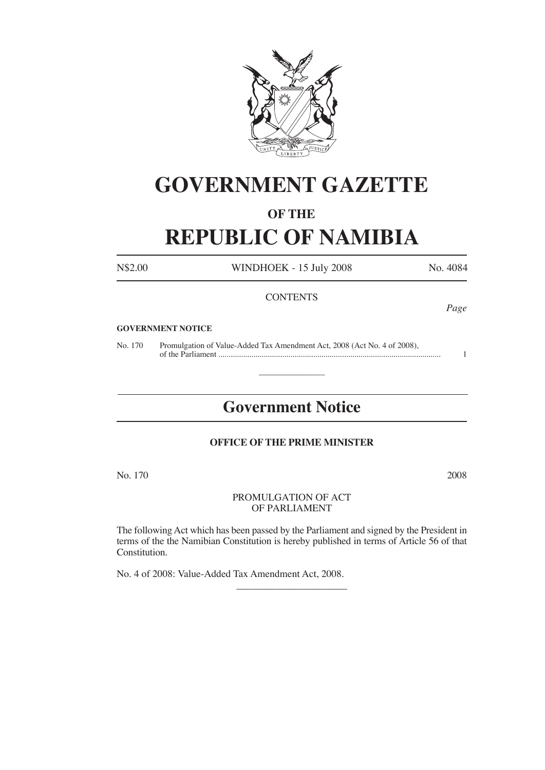

## **GOVERNMENT GAZETTE**

#### **OF THE**

# **REPUBLIC OF NAMIBIA**

N\$2.00 WINDHOEK - 15 July 2008 No. 4084

*Page*

#### **CONTENTS**

#### **GOVERNMENT NOTICE**

No. 170 Promulgation of Value-Added Tax Amendment Act, 2008 (Act No. 4 of 2008), of the Parliament ............................................................................................................ 1

## **Government Notice**

 $\overline{\phantom{a}}$ 

#### **OFFICE OF THE PRIME MINISTER**

No. 170 2008

#### PROMULGATION OF ACT OF PARLIAMENT

The following Act which has been passed by the Parliament and signed by the President in terms of the the Namibian Constitution is hereby published in terms of Article 56 of that Constitution.

 $\overline{\phantom{a}}$  , where  $\overline{\phantom{a}}$ 

No. 4 of 2008: Value-Added Tax Amendment Act, 2008.